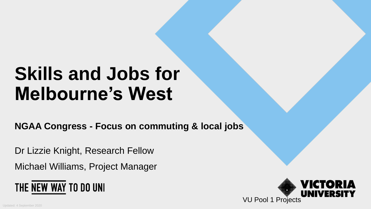# **Skills and Jobs for Melbourne's West**

**NGAA Congress - Focus on commuting & local jobs**

Dr Lizzie Knight, Research Fellow

Michael Williams, Project Manager



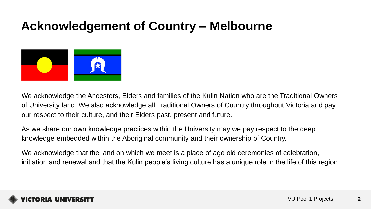### **Acknowledgement of Country – Melbourne**



We acknowledge the Ancestors, Elders and families of the Kulin Nation who are the Traditional Owners of University land. We also acknowledge all Traditional Owners of Country throughout Victoria and pay our respect to their culture, and their Elders past, present and future.

As we share our own knowledge practices within the University may we pay respect to the deep knowledge embedded within the Aboriginal community and their ownership of Country.

We acknowledge that the land on which we meet is a place of age old ceremonies of celebration, initiation and renewal and that the Kulin people's living culture has a unique role in the life of this region.

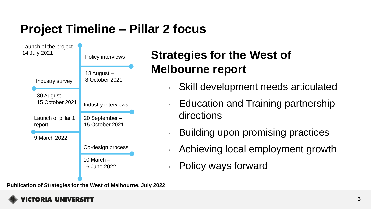## **Project Timeline – Pillar 2 focus**



**Publication of Strategies for the West of Melbourne, July 2022**

## **Strategies for the West of Melbourne report**

- Skill development needs articulated
- Education and Training partnership directions
- Building upon promising practices
- Achieving local employment growth
- Policy ways forward

CTORIA UNIVERSITY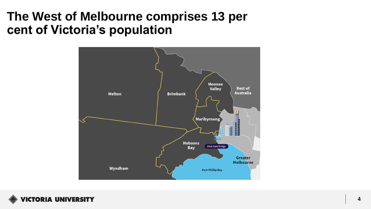#### **The West of Melbourne comprises 13 per cent of Victoria's population**



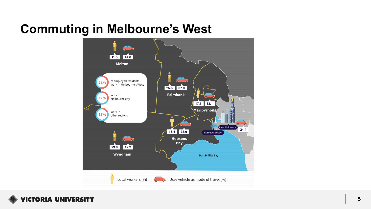## **Commuting in Melbourne's West**



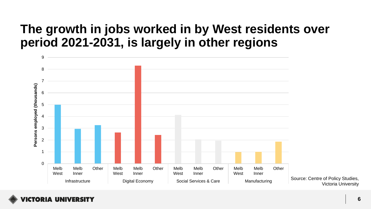#### **The growth in jobs worked in by West residents over period 2021-2031, is largely in other regions**

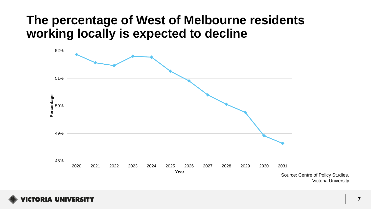#### **The percentage of West of Melbourne residents working locally is expected to decline**



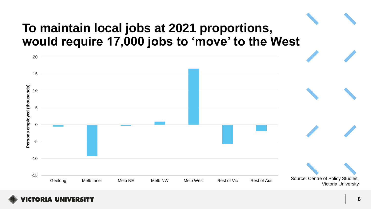## **To maintain local jobs at 2021 proportions, would require 17,000 jobs to 'move' to the West**



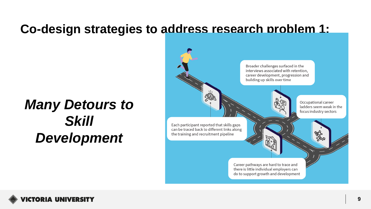#### **Co-design strategies to address research problem 1:**

# *Many Detours to Skill Development*

Broader challenges surfaced in the interviews associated with retention, career development, progression and building up skills over time <u>40)</u> Occupational career ladders seem weak in the focus industry sectors Each participant reported that skills gaps can be traced back to different links along the training and recruitment pipeline Career pathways are hard to trace and there is little individual employers can do to support growth and development

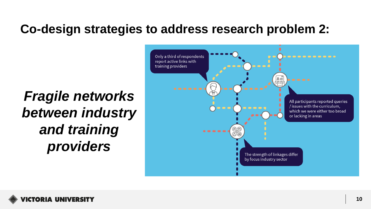### **Co-design strategies to address research problem 2:**

*Fragile networks between industry and training providers* 



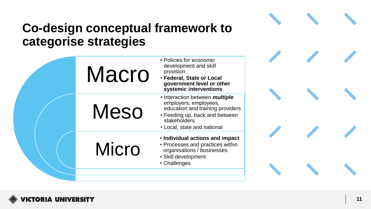## **Co -design conceptual framework to categorise strategies**

| <b>Macro</b> | • Policies for economic<br>development and skill<br>provision<br>· Federal, State or Local<br>government level or other<br>systemic interventions                                          |  |  |
|--------------|--------------------------------------------------------------------------------------------------------------------------------------------------------------------------------------------|--|--|
| <b>Meso</b>  | • Interaction between <i>multiple</i><br>employers, employees,<br>education and training providers<br>• Feeding up, back and between<br><b>stakeholders</b><br>• Local, state and national |  |  |
| <b>Micro</b> | . Individual actions and impact<br>• Processes and practices within<br>organisations / businesses<br>• Skill development<br>• Challenges                                                   |  |  |
|              |                                                                                                                                                                                            |  |  |